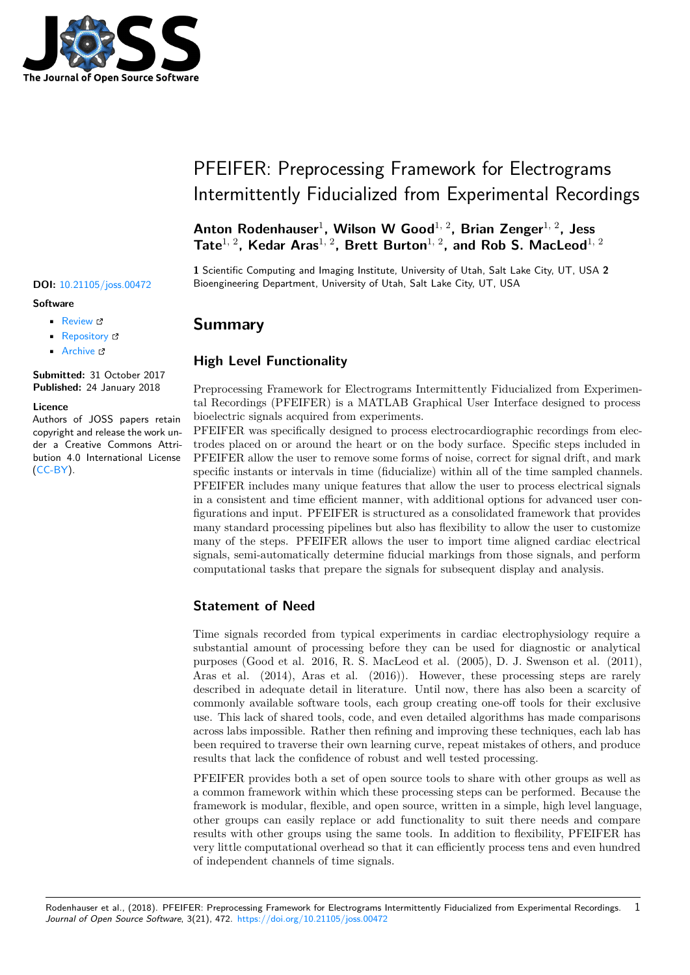

#### **Software**

- Review &
- [Repository](https://doi.org/10.21105/joss.00472) &
- Archive

**Subm[itted:](https://github.com/openjournals/joss-reviews/issues/472)** 31 October 2017 **Published:** [24 Ja](https://github.com/SCIInstitute/PFEIFER)nuary 2018

#### **Licen[ce](http://dx.doi.org/10.5281/zenodo.1158651)**

Authors of JOSS papers retain copyright and release the work under a Creative Commons Attribution 4.0 International License (CC-BY).

# PFEIFER: Preprocessing Framework for Electrograms Intermittently Fiducialized from Experimental Recordings

### **Anton Rodenhauser**<sup>1</sup> **, Wilson W Good**1, 2**, Brian Zenger**1, 2**, Jess Tate**1, 2**, Kedar Aras**1, 2**, Brett Burton**1, 2**, and Rob S. MacLeod**1, 2

**1** Scientific Computing and Imaging Institute, University of Utah, Salt Lake City, UT, USA **2 DOI:** 10.21105/joss.00472 Bioengineering Department, University of Utah, Salt Lake City, UT, USA

## **Summary**

### **High Level Functionality**

Preprocessing Framework for Electrograms Intermittently Fiducialized from Experimental Recordings (PFEIFER) is a MATLAB Graphical User Interface designed to process bioelectric signals acquired from experiments.

PFEIFER was specifically designed to process electrocardiographic recordings from electrodes placed on or around the heart or on the body surface. Specific steps included in PFEIFER allow the user to remove some forms of noise, correct for signal drift, and mark specific instants or intervals in time (fiducialize) within all of the time sampled channels. PFEIFER includes many unique features that allow the user to process electrical signals in a consistent and time efficient manner, with additional options for advanced user configurations and input. PFEIFER is structured as a consolidated framework that provides many standard processing pipelines but also has flexibility to allow the user to customize many of the steps. PFEIFER allows the user to import time aligned cardiac electrical signals, semi-automatically determine fiducial markings from those signals, and perform computational tasks that prepare the signals for subsequent display and analysis.

### **Statement of Need**

Time signals recorded from typical experiments in cardiac electrophysiology require a substantial amount of processing before they can be used for diagnostic or analytical purposes (Good et al. 2016, R. S. MacLeod et al. (2005), D. J. Swenson et al. (2011), Aras et al. (2014), Aras et al. (2016)). However, these processing steps are rarely described in adequate detail in literature. Until now, there has also been a scarcity of commonly available software tools, each group creating one-off tools for their exclusive use. This lack of shared tools, code, and even detailed algorithms has made comparisons across labs impossible. Rather then refining and improving these techniques, each lab has been required to traverse their own learning curve, repeat mistakes of others, and produce results that lack the confidence of robust and well tested processing.

PFEIFER provides both a set of open source tools to share with other groups as well as a common framework within which these processing steps can be performed. Because the framework is modular, flexible, and open source, written in a simple, high level language, other groups can easily replace or add functionality to suit there needs and compare results with other groups using the same tools. In addition to flexibility, PFEIFER has very little computational overhead so that it can efficiently process tens and even hundred of independent channels of time signals.